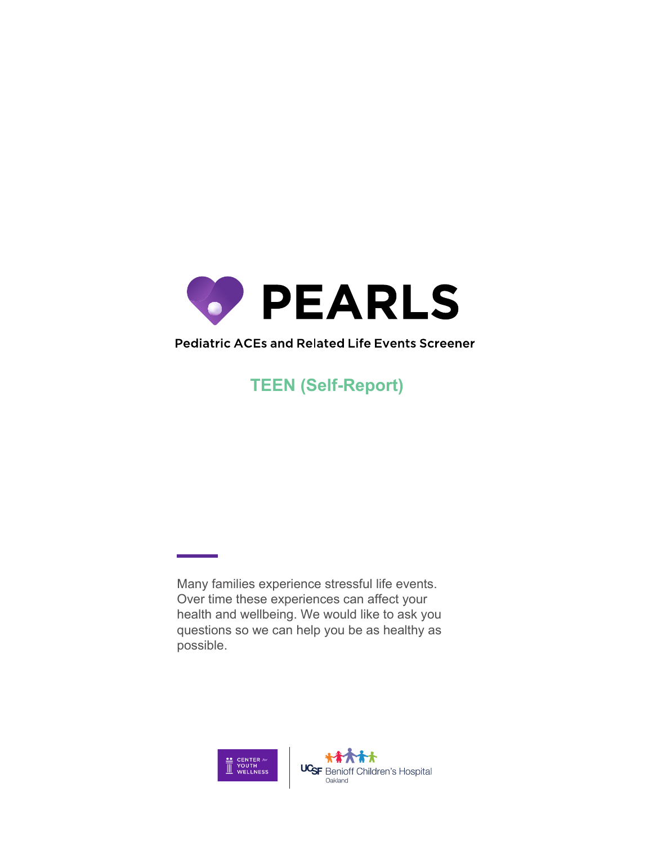

## Pediatric ACES and Related Life Events Screener

**TEEN (Self-Report)**

Many families experience stressful life events. Over time these experiences can affect your health and wellbeing. We would like to ask you questions so we can help you be as healthy as possible.

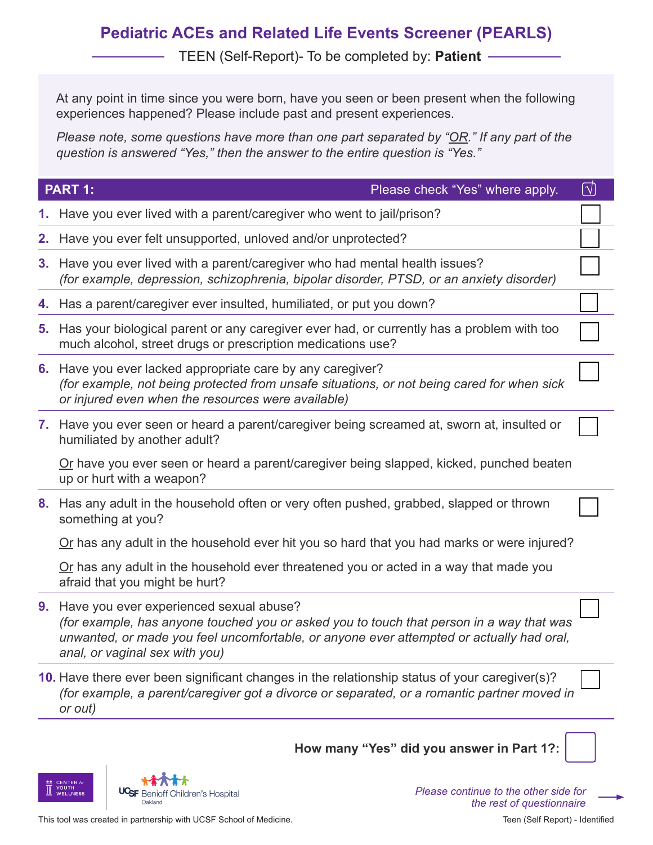## **Pediatric ACEs and Related Life Events Screener (PEARLS)**

TEEN (Self-Report)- To be completed by: **Patient**

At any point in time since you were born, have you seen or been present when the following experiences happened? Please include past and present experiences.

*Please note, some questions have more than one part separated by "OR." If any part of the question is answered "Yes," then the answer to the entire question is "Yes."*

|                | PART 1:<br>Please check "Yes" where apply.                                                                                                                                                                                                                        | $\left[ \nabla\right]$ |
|----------------|-------------------------------------------------------------------------------------------------------------------------------------------------------------------------------------------------------------------------------------------------------------------|------------------------|
|                | 1. Have you ever lived with a parent/caregiver who went to jail/prison?                                                                                                                                                                                           |                        |
| 2.             | Have you ever felt unsupported, unloved and/or unprotected?                                                                                                                                                                                                       |                        |
| 3 <sub>1</sub> | Have you ever lived with a parent/caregiver who had mental health issues?<br>(for example, depression, schizophrenia, bipolar disorder, PTSD, or an anxiety disorder)                                                                                             |                        |
| 4.             | Has a parent/caregiver ever insulted, humiliated, or put you down?                                                                                                                                                                                                |                        |
| 5.             | Has your biological parent or any caregiver ever had, or currently has a problem with too<br>much alcohol, street drugs or prescription medications use?                                                                                                          |                        |
|                | 6. Have you ever lacked appropriate care by any caregiver?<br>(for example, not being protected from unsafe situations, or not being cared for when sick<br>or injured even when the resources were available)                                                    |                        |
|                | 7. Have you ever seen or heard a parent/caregiver being screamed at, sworn at, insulted or<br>humiliated by another adult?                                                                                                                                        |                        |
|                | Or have you ever seen or heard a parent/caregiver being slapped, kicked, punched beaten<br>up or hurt with a weapon?                                                                                                                                              |                        |
| 8.             | Has any adult in the household often or very often pushed, grabbed, slapped or thrown<br>something at you?                                                                                                                                                        |                        |
|                | Or has any adult in the household ever hit you so hard that you had marks or were injured?                                                                                                                                                                        |                        |
|                | Or has any adult in the household ever threatened you or acted in a way that made you<br>afraid that you might be hurt?                                                                                                                                           |                        |
| 9 <sub>1</sub> | Have you ever experienced sexual abuse?<br>(for example, has anyone touched you or asked you to touch that person in a way that was<br>unwanted, or made you feel uncomfortable, or anyone ever attempted or actually had oral,<br>anal, or vaginal sex with you) |                        |
|                | 10. Have there ever been significant changes in the relationship status of your caregiver(s)?<br>(for example, a parent/caregiver got a divorce or separated, or a romantic partner moved in<br>or out)                                                           |                        |
|                | How many "Yes" did you answer in Part 1?:                                                                                                                                                                                                                         |                        |

UCSF Benioff Children's Hospital Oakland

**CENTER /or**<br>YOUTH<br>WELLNESS

This tool was created in partnership with UCSF School of Medicine.